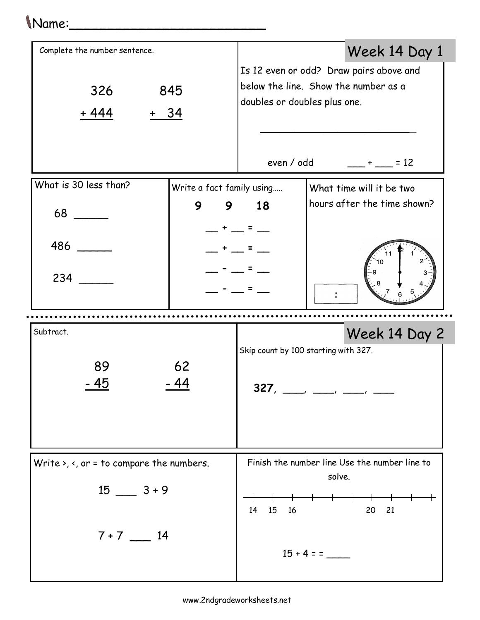## Name:\_\_\_\_\_\_\_\_\_\_\_\_\_\_\_\_\_\_\_\_\_\_\_\_\_

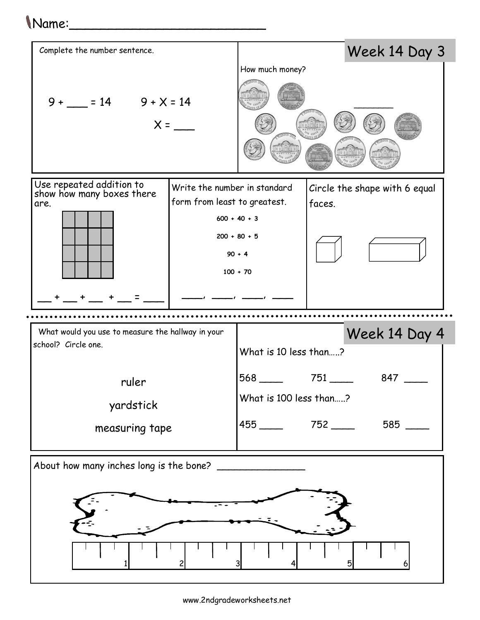## Name:\_\_\_\_\_\_\_\_\_\_\_\_\_\_\_\_\_\_\_\_\_\_\_\_\_



1 2 3 4 5 6